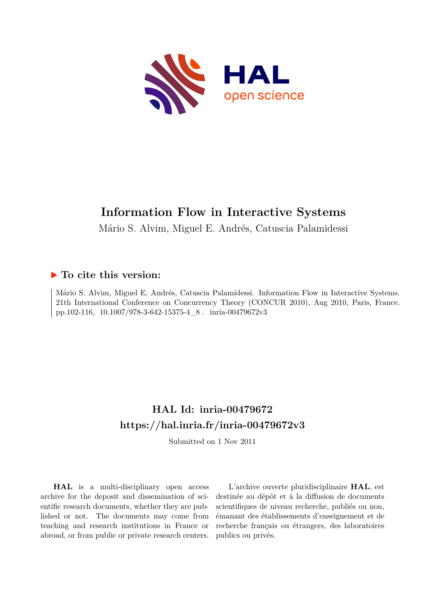

# **Information Flow in Interactive Systems**

Mário S. Alvim, Miguel E. Andrés, Catuscia Palamidessi

# **To cite this version:**

Mário S. Alvim, Miguel E. Andrés, Catuscia Palamidessi. Information Flow in Interactive Systems. 21th International Conference on Concurrency Theory (CONCUR 2010), Aug 2010, Paris, France. pp.102-116, 10.1007/978-3-642-15375-4\_8. inria-00479672v3

# **HAL Id: inria-00479672 <https://hal.inria.fr/inria-00479672v3>**

Submitted on 1 Nov 2011

**HAL** is a multi-disciplinary open access archive for the deposit and dissemination of scientific research documents, whether they are published or not. The documents may come from teaching and research institutions in France or abroad, or from public or private research centers.

L'archive ouverte pluridisciplinaire **HAL**, est destinée au dépôt et à la diffusion de documents scientifiques de niveau recherche, publiés ou non, émanant des établissements d'enseignement et de recherche français ou étrangers, des laboratoires publics ou privés.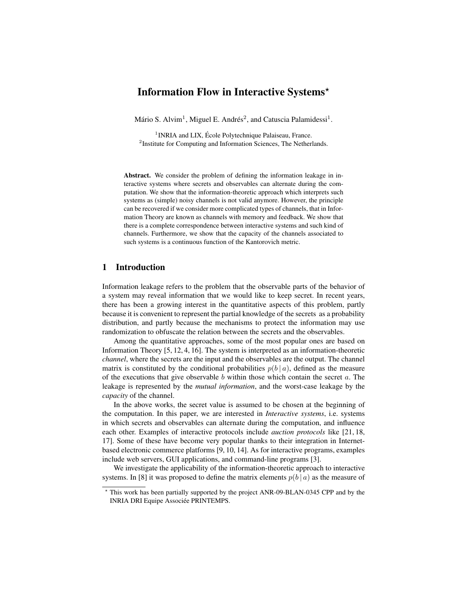# Information Flow in Interactive Systems?

Mário S. Alvim<sup>1</sup>, Miguel E. Andrés<sup>2</sup>, and Catuscia Palamidessi<sup>1</sup>.

<sup>1</sup> INRIA and LIX, École Polytechnique Palaiseau, France. <sup>2</sup>Institute for Computing and Information Sciences, The Netherlands.

Abstract. We consider the problem of defining the information leakage in interactive systems where secrets and observables can alternate during the computation. We show that the information-theoretic approach which interprets such systems as (simple) noisy channels is not valid anymore. However, the principle can be recovered if we consider more complicated types of channels, that in Information Theory are known as channels with memory and feedback. We show that there is a complete correspondence between interactive systems and such kind of channels. Furthermore, we show that the capacity of the channels associated to such systems is a continuous function of the Kantorovich metric.

## 1 Introduction

Information leakage refers to the problem that the observable parts of the behavior of a system may reveal information that we would like to keep secret. In recent years, there has been a growing interest in the quantitative aspects of this problem, partly because it is convenient to represent the partial knowledge of the secrets as a probability distribution, and partly because the mechanisms to protect the information may use randomization to obfuscate the relation between the secrets and the observables.

Among the quantitative approaches, some of the most popular ones are based on Information Theory [5, 12, 4, 16]. The system is interpreted as an information-theoretic *channel*, where the secrets are the input and the observables are the output. The channel matrix is constituted by the conditional probabilities  $p(b | a)$ , defined as the measure of the executions that give observable  $b$  within those which contain the secret  $a$ . The leakage is represented by the *mutual information*, and the worst-case leakage by the *capacity* of the channel.

In the above works, the secret value is assumed to be chosen at the beginning of the computation. In this paper, we are interested in *Interactive systems*, i.e. systems in which secrets and observables can alternate during the computation, and influence each other. Examples of interactive protocols include *auction protocols* like [21, 18, 17]. Some of these have become very popular thanks to their integration in Internetbased electronic commerce platforms [9, 10, 14]. As for interactive programs, examples include web servers, GUI applications, and command-line programs [3].

We investigate the applicability of the information-theoretic approach to interactive systems. In [8] it was proposed to define the matrix elements  $p(b | a)$  as the measure of

<sup>?</sup> This work has been partially supported by the project ANR-09-BLAN-0345 CPP and by the INRIA DRI Equipe Associée PRINTEMPS.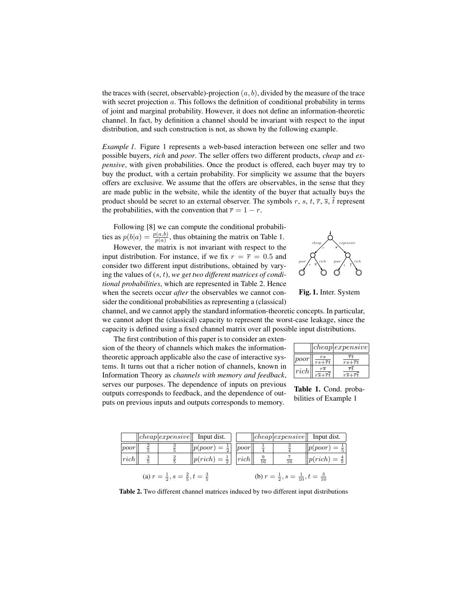the traces with (secret, observable)-projection  $(a, b)$ , divided by the measure of the trace with secret projection a. This follows the definition of conditional probability in terms of joint and marginal probability. However, it does not define an information-theoretic channel. In fact, by definition a channel should be invariant with respect to the input distribution, and such construction is not, as shown by the following example.

*Example 1.* Figure 1 represents a web-based interaction between one seller and two possible buyers, *rich* and *poor*. The seller offers two different products, *cheap* and *expensive*, with given probabilities. Once the product is offered, each buyer may try to buy the product, with a certain probability. For simplicity we assume that the buyers offers are exclusive. We assume that the offers are observables, in the sense that they are made public in the website, while the identity of the buyer that actually buys the product should be secret to an external observer. The symbols r, s, t,  $\bar{r}$ ,  $\bar{s}$ ,  $\bar{t}$  represent the probabilities, with the convention that  $\bar{r} = 1 - r$ .

Following [8] we can compute the conditional probabilities as  $p(b|a) = \frac{p(a,b)}{p(a)}$ , thus obtaining the matrix on Table 1.

However, the matrix is not invariant with respect to the input distribution. For instance, if we fix  $r = \bar{r} = 0.5$  and consider two different input distributions, obtained by varying the values of (s, t), *we get two different matrices of conditional probabilities*, which are represented in Table 2. Hence when the secrets occur *after* the observables we cannot consider the conditional probabilities as representing a (classical)



Fig. 1. Inter. System

channel, and we cannot apply the standard information-theoretic concepts. In particular, we cannot adopt the (classical) capacity to represent the worst-case leakage, since the capacity is defined using a fixed channel matrix over all possible input distributions.

The first contribution of this paper is to consider an extension of the theory of channels which makes the informationtheoretic approach applicable also the case of interactive systems. It turns out that a richer notion of channels, known in Information Theory as *channels with memory and feedback*, serves our purposes. The dependence of inputs on previous outputs corresponds to feedback, and the dependence of outputs on previous inputs and outputs corresponds to memory.

|      |                               | cheap expensive           |
|------|-------------------------------|---------------------------|
| poor | $rs+\overline{r}t$            | rt.<br>$rs+\overline{r}t$ |
| rich | $r\overline{s}+\overline{r}t$ | $rs-$                     |

Table 1. Cond. probabilities of Example 1

|                                                                                                                            |  |  | $\ cheap expensive\ $ Input dist.                             |  |                 | $\ cheap expensive\ $ Input dist. |
|----------------------------------------------------------------------------------------------------------------------------|--|--|---------------------------------------------------------------|--|-----------------|-----------------------------------|
| poor                                                                                                                       |  |  | $\ p(poor) = \frac{1}{2} \cdot \ poor\ $                      |  |                 | $\ p(poor)\  = \frac{1}{5}\ $     |
| rich                                                                                                                       |  |  | $\ p(\text{rich})=\frac{1}{2}\  \ \text{rich}\  \frac{9}{16}$ |  | $\overline{16}$ | $ p(\text{rich}) = \frac{4}{5} $  |
| (a) $r = \frac{1}{2}, s = \frac{2}{5}, t = \frac{3}{5}$<br>(b) $r = \frac{1}{2}$ , $s = \frac{1}{10}$ , $t = \frac{3}{10}$ |  |  |                                                               |  |                 |                                   |

Table 2. Two different channel matrices induced by two different input distributions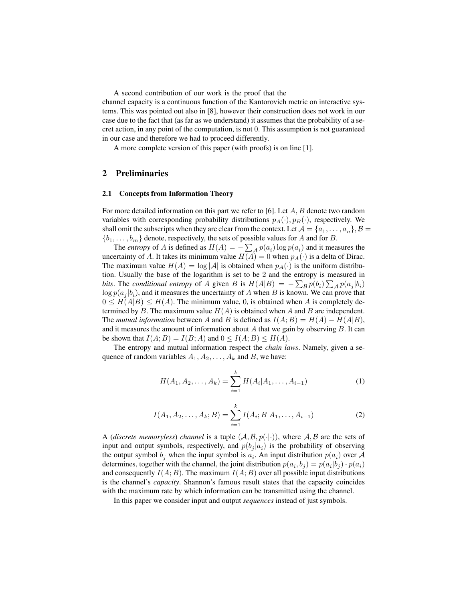A second contribution of our work is the proof that the

channel capacity is a continuous function of the Kantorovich metric on interactive systems. This was pointed out also in [8], however their construction does not work in our case due to the fact that (as far as we understand) it assumes that the probability of a secret action, in any point of the computation, is not 0. This assumption is not guaranteed in our case and therefore we had to proceed differently.

A more complete version of this paper (with proofs) is on line [1].

### 2 Preliminaries

#### 2.1 Concepts from Information Theory

For more detailed information on this part we refer to [6]. Let  $A, B$  denote two random variables with corresponding probability distributions  $p_A(\cdot), p_B(\cdot)$ , respectively. We shall omit the subscripts when they are clear from the context. Let  $A = \{a_1, \ldots, a_n\}, \mathcal{B} = \{a_1, \ldots, a_n\}$  ${b_1, \ldots, b_m}$  denote, respectively, the sets of possible values for A and for B.

The *entropy* of A is defined as  $H(A) = -\sum_{i} A p(a_i) \log p(a_i)$  and it measures the uncertainty of A. It takes its minimum value  $H(A) = 0$  when  $p_A(\cdot)$  is a delta of Dirac. The maximum value  $H(A) = \log |\mathcal{A}|$  is obtained when  $p_A(\cdot)$  is the uniform distribution. Usually the base of the logarithm is set to be 2 and the entropy is measured in *bits*. The *conditional entropy* of A given B is  $H(A|B) = -\sum_{B} p(b_i) \sum_{A} p(a_j|b_i)$  $\log p(a_j|b_i)$ , and it measures the uncertainty of A when B is known. We can prove that  $0 \leq H(A|B) \leq H(A)$ . The minimum value, 0, is obtained when A is completely determined by B. The maximum value  $H(A)$  is obtained when A and B are independent. The *mutual information* between A and B is defined as  $I(A; B) = H(A) - H(A|B)$ , and it measures the amount of information about  $A$  that we gain by observing  $B$ . It can be shown that  $I(A; B) = I(B; A)$  and  $0 \le I(A; B) \le H(A)$ .

The entropy and mutual information respect the *chain laws*. Namely, given a sequence of random variables  $A_1, A_2, \ldots, A_k$  and B, we have:

$$
H(A_1, A_2, \dots, A_k) = \sum_{i=1}^{k} H(A_i | A_1, \dots, A_{i-1})
$$
 (1)

$$
I(A_1, A_2, \dots, A_k; B) = \sum_{i=1}^k I(A_i; B | A_1, \dots, A_{i-1})
$$
 (2)

A (*discrete memoryless*) *channel* is a tuple  $(A, \mathcal{B}, p(\cdot|\cdot))$ , where  $A, \mathcal{B}$  are the sets of input and output symbols, respectively, and  $p(b_j|a_i)$  is the probability of observing the output symbol  $b_j$  when the input symbol is  $a_i$ . An input distribution  $p(a_i)$  over A determines, together with the channel, the joint distribution  $p(a_i, b_j) = p(a_i|b_j) \cdot p(a_i)$ and consequently  $I(A; B)$ . The maximum  $I(A; B)$  over all possible input distributions is the channel's *capacity*. Shannon's famous result states that the capacity coincides with the maximum rate by which information can be transmitted using the channel.

In this paper we consider input and output *sequences* instead of just symbols.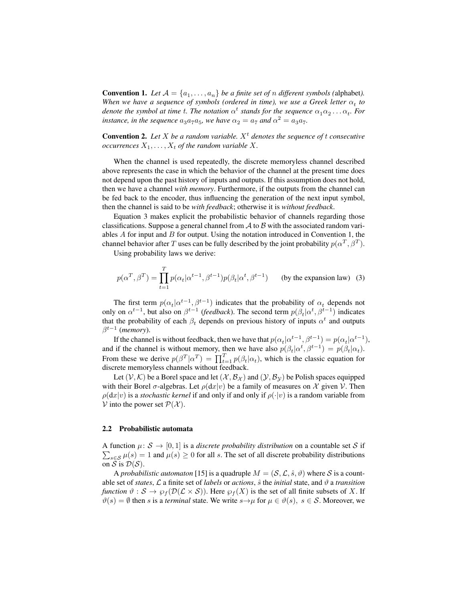**Convention 1.** Let  $A = \{a_1, \ldots, a_n\}$  be a finite set of n different symbols (alphabet). When we have a sequence of symbols (ordered in time), we use a Greek letter  $\alpha_t$  to *denote the symbol at time t. The notation*  $\alpha^t$  *stands for the sequence*  $\alpha_1 \alpha_2 \dots \alpha_t$ *. For instance, in the sequence*  $a_3a_7a_5$ *, we have*  $\alpha_2 = a_7$  *and*  $\alpha^2 = a_3a_7$ *.* 

**Convention 2.** Let X be a random variable.  $X<sup>t</sup>$  denotes the sequence of t consecutive *occurrences*  $X_1, \ldots, X_t$  *of the random variable* X.

When the channel is used repeatedly, the discrete memoryless channel described above represents the case in which the behavior of the channel at the present time does not depend upon the past history of inputs and outputs. If this assumption does not hold, then we have a channel *with memory*. Furthermore, if the outputs from the channel can be fed back to the encoder, thus influencing the generation of the next input symbol, then the channel is said to be *with feedback*; otherwise it is *without feedback*.

Equation 3 makes explicit the probabilistic behavior of channels regarding those classifications. Suppose a general channel from  $A$  to  $B$  with the associated random variables  $A$  for input and  $B$  for output. Using the notation introduced in Convention 1, the channel behavior after T uses can be fully described by the joint probability  $p(\alpha^T, \beta^T)$ .

Using probability laws we derive:

$$
p(\alpha^T, \beta^T) = \prod_{t=1}^T p(\alpha_t | \alpha^{t-1}, \beta^{t-1}) p(\beta_t | \alpha^t, \beta^{t-1})
$$
 (by the expansion law) (3)

The first term  $p(\alpha_t | \alpha^{t-1}, \beta^{t-1})$  indicates that the probability of  $\alpha_t$  depends not only on  $\alpha^{t-1}$ , but also on  $\beta^{t-1}$  (*feedback*). The second term  $p(\beta_t | \alpha^t, \beta^{t-1})$  indicates that the probability of each  $\beta_t$  depends on previous history of inputs  $\alpha^t$  and outputs  $\beta^{t-1}$  (*memory*).

If the channel is without feedback, then we have that  $p(\alpha_t | \alpha^{t-1}, \beta^{t-1}) = p(\alpha_t | \alpha^{t-1}),$ and if the channel is without memory, then we have also  $p(\beta_t | \alpha^t, \beta^{t-1}) = p(\beta_t | \alpha_t)$ . From these we derive  $p(\beta^T | \alpha^T) = \prod_{t=1}^T p(\beta_t | \alpha_t)$ , which is the classic equation for discrete memoryless channels without feedback.

Let  $(V, K)$  be a Borel space and let  $(X, \mathcal{B}_X)$  and  $(Y, \mathcal{B}_Y)$  be Polish spaces equipped with their Borel  $\sigma$ -algebras. Let  $\rho(dx|v)$  be a family of measures on X given V. Then  $\rho(\mathrm{d}x|v)$  is a *stochastic kernel* if and only if and only if  $\rho(\cdot|v)$  is a random variable from V into the power set  $P(X)$ .

#### 2.2 Probabilistic automata

A function  $\mu: \mathcal{S} \to [0, 1]$  is a *discrete probability distribution* on a countable set S if  $\sum_{s \in \mathcal{S}} \mu(s) = 1$  and  $\mu(s) \ge 0$  for all s. The set of all discrete probability distributions on  $\overline{S}$  is  $\mathcal{D}(S)$ .

A *probabilistic automaton* [15] is a quadruple  $M = (\mathcal{S}, \mathcal{L}, \hat{s}, \vartheta)$  where S is a countable set of *states*,  $\mathcal{L}$  a finite set of *labels* or *actions*,  $\hat{s}$  the *initial* state, and  $\vartheta$  a *transition function*  $\vartheta$  :  $S \to \varphi_f(\mathcal{D}(\mathcal{L} \times S))$ . Here  $\varphi_f(X)$  is the set of all finite subsets of X. If  $\vartheta(s) = \varnothing$  then s is a *terminal* state. We write  $s \rightarrow \mu$  for  $\mu \in \vartheta(s)$ ,  $s \in \mathcal{S}$ . Moreover, we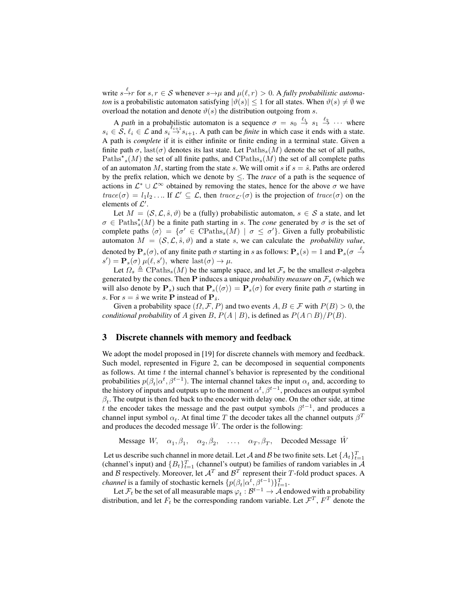write  $s \xrightarrow{\ell} r$  for  $s, r \in S$  whenever  $s \rightarrow \mu$  and  $\mu(\ell, r) > 0$ . A *fully probabilistic automaton* is a probabilistic automaton satisfying  $|\vartheta(s)| \leq 1$  for all states. When  $\vartheta(s) \neq \emptyset$  we overload the notation and denote  $\vartheta(s)$  the distribution outgoing from s.

A *path* in a probabilistic automaton is a sequence  $\sigma = s_0 \stackrel{\ell_1}{\rightarrow} s_1 \stackrel{\ell_2}{\rightarrow} \cdots$  where  $s_i \in \mathcal{S}, \ell_i \in \mathcal{L}$  and  $s_i \stackrel{\ell_{i+1}}{\rightarrow} s_{i+1}$ . A path can be *finite* in which case it ends with a state. A path is *complete* if it is either infinite or finite ending in a terminal state. Given a finite path  $\sigma$ , last( $\sigma$ ) denotes its last state. Let  $\text{Paths}_s(M)$  denote the set of all paths,  $\text{Paths}^{\star}_{s}(M)$  the set of all finite paths, and  $\text{CPaths}_{s}(M)$  the set of all complete paths of an automaton M, starting from the state s. We will omit s if  $s = \hat{s}$ . Paths are ordered by the prefix relation, which we denote by  $\leq$ . The *trace* of a path is the sequence of actions in  $\mathcal{L}^* \cup \mathcal{L}^{\infty}$  obtained by removing the states, hence for the above  $\sigma$  we have  $trace(\sigma) = l_1 l_2 \dots$  If  $\mathcal{L}' \subseteq \mathcal{L}$ , then  $trace_{\mathcal{L}'}(\sigma)$  is the projection of  $trace(\sigma)$  on the elements of  $\mathcal{L}'$ .

Let  $M = (\mathcal{S}, \mathcal{L}, \hat{s}, \vartheta)$  be a (fully) probabilistic automaton,  $s \in \mathcal{S}$  a state, and let  $\sigma \in \text{Paths}_{s}^{\star}(M)$  be a finite path starting in s. The *cone* generated by  $\sigma$  is the set of complete paths  $\langle \sigma \rangle = {\sigma' \in \text{CPaths}_s(M) \mid \sigma \leq \sigma'}$ . Given a fully probabilistic automaton  $M = (S, \mathcal{L}, \hat{s}, \vartheta)$  and a state s, we can calculate the *probability value*, denoted by  $\mathbf{P}_s(\sigma)$ , of any finite path  $\sigma$  starting in s as follows:  $\mathbf{P}_s(s) = 1$  and  $\mathbf{P}_s(\sigma \overset{\ell}{\to} \sigma)$  $(s') = \mathbf{P}_s(\sigma) \mu(\ell, s')$ , where  $\text{last}(\sigma) \to \mu$ .

Let  $\Omega_s \triangleq \text{CPaths}_s(M)$  be the sample space, and let  $\mathcal{F}_s$  be the smallest  $\sigma$ -algebra generated by the cones. Then  $P$  induces a unique *probability measure* on  $\mathcal{F}_s$  (which we will also denote by  $P_s$ ) such that  $P_s(\langle \sigma \rangle) = P_s(\sigma)$  for every finite path  $\sigma$  starting in s. For  $s = \hat{s}$  we write **P** instead of **P**<sub> $\hat{s}$ </sub>.

Given a probability space  $(\Omega, \mathcal{F}, P)$  and two events  $A, B \in \mathcal{F}$  with  $P(B) > 0$ , the *conditional probability* of A given B,  $P(A | B)$ , is defined as  $P(A \cap B)/P(B)$ .

## 3 Discrete channels with memory and feedback

We adopt the model proposed in [19] for discrete channels with memory and feedback. Such model, represented in Figure 2, can be decomposed in sequential components as follows. At time  $t$  the internal channel's behavior is represented by the conditional probabilities  $p(\beta_t | \alpha^t, \beta^{t-1})$ . The internal channel takes the input  $\alpha_t$  and, according to the history of inputs and outputs up to the moment  $\alpha^t, \beta^{t-1}$ , produces an output symbol  $\beta_t$ . The output is then fed back to the encoder with delay one. On the other side, at time t the encoder takes the message and the past output symbols  $\beta^{t-1}$ , and produces a channel input symbol  $\alpha_t$ . At final time T the decoder takes all the channel outputs  $\beta^T$ and produces the decoded message  $\hat{W}$ . The order is the following:

Message W,  $\alpha_1, \beta_1, \alpha_2, \beta_2, \ldots, \alpha_T, \beta_T$ , Decoded Message  $\hat{W}$ 

Let us describe such channel in more detail. Let A and B be two finite sets. Let  $\{A_t\}_{t=1}^T$ (channel's input) and  $\{B_t\}_{t=1}^T$  (channel's output) be families of random variables in A and B respectively. Moreover, let  $\mathcal{A}^T$  and  $\mathcal{B}^T$  represent their T-fold product spaces. A *channel* is a family of stochastic kernels  $\{p(\beta_t | \alpha^t, \beta^{t-1})\}_{t=1}^T$ .

Let  $\mathcal{F}_t$  be the set of all measurable maps  $\varphi_t : \mathcal{B}^{t-1} \to \mathcal{A}$  endowed with a probability distribution, and let  $F_t$  be the corresponding random variable. Let  $\mathcal{F}^T$ ,  $F^T$  denote the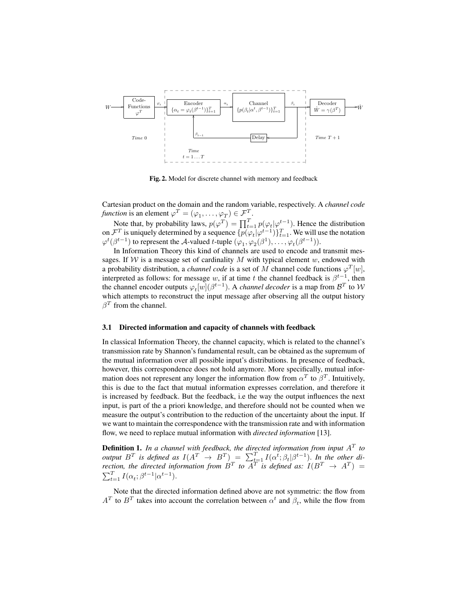

Fig. 2. Model for discrete channel with memory and feedback

Cartesian product on the domain and the random variable, respectively. A *channel code function* is an element  $\varphi^T = (\varphi_1, \dots, \varphi_T) \in \mathcal{F}_T^T$ .

Note that, by probability laws,  $p(\varphi^T) = \prod_{t=1}^T p(\varphi_t | \varphi^{t-1})$ . Hence the distribution on  $\mathcal{F}^T$  is uniquely determined by a sequence  $\{p(\varphi_t | \varphi^{t-1})\}_{t=1}^T$ . We will use the notation  $\varphi^t(\beta^{t-1})$  to represent the A-valued t-tuple  $(\varphi_1, \varphi_2(\beta^1), \dots, \varphi_t(\beta^{t-1})).$ 

In Information Theory this kind of channels are used to encode and transmit messages. If W is a message set of cardinality M with typical element w, endowed with a probability distribution, a *channel code* is a set of M channel code functions  $\varphi^{T}[w]$ , interpreted as follows: for message w, if at time t the channel feedback is  $\beta^{t-1}$ , then the channel encoder outputs  $\varphi_t[w](\beta^{t-1})$ . A *channel decoder* is a map from  $\beta^T$  to  $\mathcal W$ which attempts to reconstruct the input message after observing all the output history  $\beta^T$  from the channel.

#### 3.1 Directed information and capacity of channels with feedback

In classical Information Theory, the channel capacity, which is related to the channel's transmission rate by Shannon's fundamental result, can be obtained as the supremum of the mutual information over all possible input's distributions. In presence of feedback, however, this correspondence does not hold anymore. More specifically, mutual information does not represent any longer the information flow from  $\alpha^T$  to  $\beta^T$ . Intuitively, this is due to the fact that mutual information expresses correlation, and therefore it is increased by feedback. But the feedback, i.e the way the output influences the next input, is part of the a priori knowledge, and therefore should not be counted when we measure the output's contribution to the reduction of the uncertainty about the input. If we want to maintain the correspondence with the transmission rate and with information flow, we need to replace mutual information with *directed information* [13].

**Definition 1.** In a channel with feedback, the directed information from input  $A<sup>T</sup>$  to *output*  $B^T$  *is defined as*  $I(A^T \rightarrow B^T) = \sum_{t=1}^T I(\alpha^t; \beta_t | \beta^{t-1})$ . In the other di*rection, the directed information from*  $B^T$  *to*  $A^T$  *is defined as:*  $I(B^T \rightarrow A^T)$  =  $\sum_{t=1}^{T} I(\alpha_t; \beta^{t-1} | \alpha^{t-1}).$ 

Note that the directed information defined above are not symmetric: the flow from  $A<sup>T</sup>$  to  $B<sup>T</sup>$  takes into account the correlation between  $\alpha<sup>t</sup>$  and  $\beta<sub>t</sub>$ , while the flow from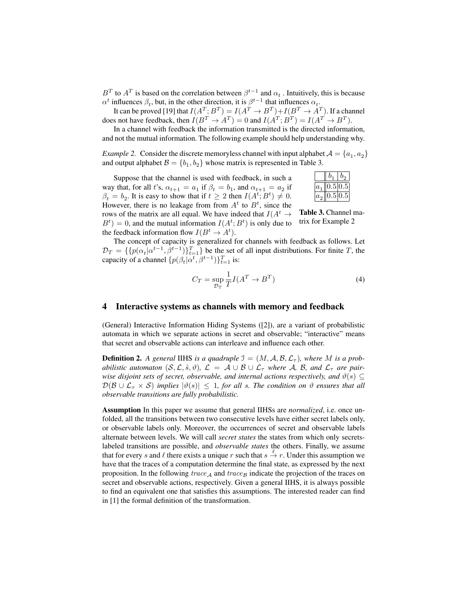$B<sup>T</sup>$  to  $A<sup>T</sup>$  is based on the correlation between  $\beta^{t-1}$  and  $\alpha_t$ . Intuitively, this is because  $\alpha^t$  influences  $\beta_t$ , but, in the other direction, it is  $\beta^{t-1}$  that influences  $\alpha_t$ .

It can be proved [19] that  $I(A^T; B^T) = I(A^T \to B^T) + I(B^T \to A^T)$ . If a channel does not have feedback, then  $I(B^T \to A^T) = 0$  and  $I(A^T; B^T) = I(A^T \to B^T)$ .

In a channel with feedback the information transmitted is the directed information, and not the mutual information. The following example should help understanding why.

*Example 2.* Consider the discrete memoryless channel with input alphabet  $A = \{a_1, a_2\}$ and output alphabet  $B = \{b_1, b_2\}$  whose matrix is represented in Table 3.

Suppose that the channel is used with feedback, in such a way that, for all t's,  $\alpha_{t+1} = a_1$  if  $\beta_t = b_1$ , and  $\alpha_{t+1} = a_2$  if  $\beta_t = b_2$ . It is easy to show that if  $t \geq 2$  then  $I(A^t; B^t) \neq 0$ . However, there is no leakage from from  $A<sup>t</sup>$  to  $B<sup>t</sup>$ , since the rows of the matrix are all equal. We have indeed that  $I(A^t \rightarrow$  $B<sup>t</sup>$ ) = 0, and the mutual information  $I(A<sup>t</sup>; B<sup>t</sup>)$  is only due to the feedback information flow  $I(B^t \to A^t)$ .

| - 1 |  |
|-----|--|
| - 2 |  |

Table 3. Channel matrix for Example 2

The concept of capacity is generalized for channels with feedback as follows. Let  $\mathcal{D}_T = \{ \{ p(\alpha_t | \alpha^{t-1}, \beta^{t-1}) \}_{t=1}^T \}$  be the set of all input distributions. For finite T, the capacity of a channel  $\{p(\beta_t | \alpha^t, \beta^{t-1})\}_{t=1}^T$  is:

$$
C_T = \sup_{\mathcal{D}_T} \frac{1}{T} I(A^T \to B^T)
$$
\n(4)

#### 4 Interactive systems as channels with memory and feedback

(General) Interactive Information Hiding Systems ([2]), are a variant of probabilistic automata in which we separate actions in secret and observable; "interactive" means that secret and observable actions can interleave and influence each other.

**Definition 2.** A general IIHS is a quadruple  $\mathcal{I} = (M, \mathcal{A}, \mathcal{B}, \mathcal{L}_{\tau})$ , where M is a prob*abilistic automaton*  $(S, \mathcal{L}, \hat{s}, \vartheta), \mathcal{L} = \mathcal{A} \cup \mathcal{B} \cup \mathcal{L}_{\tau}$  where A, B, and  $\mathcal{L}_{\tau}$  are pair*wise disjoint sets of secret, observable, and internal actions respectively, and*  $\vartheta(s) \subseteq$  $\mathcal{D}(\mathcal{B} \cup \mathcal{L}_{\tau} \times \mathcal{S})$  *implies*  $|\vartheta(s)| \leq 1$ *, for all s. The condition on*  $\vartheta$  *ensures that all observable transitions are fully probabilistic.*

Assumption In this paper we assume that general IIHSs are *normalized*, i.e. once unfolded, all the transitions between two consecutive levels have either secret labels only, or observable labels only. Moreover, the occurrences of secret and observable labels alternate between levels. We will call *secret states* the states from which only secretslabeled transitions are possible, and *observable states* the others. Finally, we assume that for every s and  $\ell$  there exists a unique r such that  $s \stackrel{\ell}{\to} r$ . Under this assumption we have that the traces of a computation determine the final state, as expressed by the next proposition. In the following  $trace_A$  and  $trace_B$  indicate the projection of the traces on secret and observable actions, respectively. Given a general IIHS, it is always possible to find an equivalent one that satisfies this assumptions. The interested reader can find in [1] the formal definition of the transformation.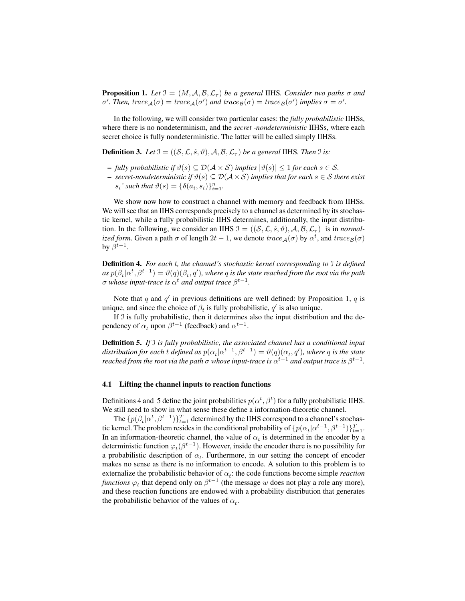**Proposition 1.** Let  $\mathcal{I} = (M, \mathcal{A}, \mathcal{B}, \mathcal{L}_{\tau})$  be a general IIHS. Consider two paths  $\sigma$  and  $\sigma'$ . Then,  $trace_{\mathcal{A}}(\sigma) = trace_{\mathcal{A}}(\sigma')$  and  $trace_{\mathcal{B}}(\sigma) = trace_{\mathcal{B}}(\sigma')$  *implies*  $\sigma = \sigma'$ .

In the following, we will consider two particular cases: the *fully probabilistic* IIHSs, where there is no nondeterminism, and the *secret -nondeterministic* IIHSs, where each secret choice is fully nondeterministic. The latter will be called simply IIHSs.

**Definition 3.** Let  $\mathcal{I} = ((\mathcal{S}, \mathcal{L}, \hat{s}, \vartheta), \mathcal{A}, \mathcal{B}, \mathcal{L}_{\tau})$  *be a general IIHS. Then*  $\mathcal{I}$  *is:* 

- $\subseteq$  *fully probabilistic if*  $\vartheta(s)$  ⊂  $\mathcal{D}(\mathcal{A} \times \mathcal{S})$  *implies*  $|\vartheta(s)|$  ≤ 1 *for each*  $s \in \mathcal{S}$ *.*
- $\blacksquare$  *secret-nondeterministic if*  $\vartheta(s)$  ⊆  $\mathcal{D}(\mathcal{A}\times\mathcal{S})$  *implies that for each*  $s \in \mathcal{S}$  *there exist*  $s_i'$  such that  $\vartheta(s) = {\delta(a_i, s_i)}_{i=1}^n$ .

We show now how to construct a channel with memory and feedback from IIHSs. We will see that an IIHS corresponds precisely to a channel as determined by its stochastic kernel, while a fully probabilistic IIHS determines, additionally, the input distribution. In the following, we consider an IIHS  $\mathcal{I} = ((\mathcal{S}, \mathcal{L}, \hat{s}, \vartheta), \mathcal{A}, \mathcal{B}, \mathcal{L}_{\tau})$  is in *normalized form.* Given a path  $\sigma$  of length  $2t - 1$ , we denote  $trace_{\mathcal{A}}(\sigma)$  by  $\alpha^t$ , and  $trace_{\mathcal{B}}(\sigma)$ by  $\beta^{t-1}$ .

Definition 4. *For each* t*, the channel's stochastic kernel corresponding to* I *is defined*  $as~p(\beta_t|\alpha^t, \beta^{t-1})=\vartheta(q)(\beta_t, q'),$  where  $q$  is the state reached from the root via the path  $\sigma$  whose input-trace is  $\alpha^t$  and output trace  $\beta^{t-1}$ .

Note that q and  $q'$  in previous definitions are well defined: by Proposition 1,  $q$  is unique, and since the choice of  $\beta_t$  is fully probabilistic,  $q'$  is also unique.

If J is fully probabilistic, then it determines also the input distribution and the dependency of  $\alpha_t$  upon  $\beta^{t-1}$  (feedback) and  $\alpha^{t-1}$ .

Definition 5. *If* I *is fully probabilistic, the associated channel has a conditional input distribution for each t defined as*  $p(\alpha_t | \alpha^{t-1}, \beta^{t-1}) = \vartheta(q)(\alpha_t, q')$ , where q is the state *reached from the root via the path*  $\sigma$  *whose input-trace is*  $\alpha^{t-1}$  *and output trace is*  $\beta^{t-1}$ *.* 

#### 4.1 Lifting the channel inputs to reaction functions

Definitions 4 and 5 define the joint probabilities  $p(\alpha^t, \beta^t)$  for a fully probabilistic IIHS. We still need to show in what sense these define a information-theoretic channel.

The  $\{p(\beta_t|\alpha^t, \beta^{t-1})\}_{t=1}^T$  determined by the IIHS correspond to a channel's stochastic kernel. The problem resides in the conditional probability of  $\{p(\alpha_t | \alpha^{t-1}, \beta^{t-1})\}_{t=1}^T$ . In an information-theoretic channel, the value of  $\alpha_t$  is determined in the encoder by a deterministic function  $\varphi_t(\beta^{t-1})$ . However, inside the encoder there is no possibility for a probabilistic description of  $\alpha_t$ . Furthermore, in our setting the concept of encoder makes no sense as there is no information to encode. A solution to this problem is to externalize the probabilistic behavior of  $\alpha_t$ : the code functions become simple *reaction functions*  $\varphi_t$  that depend only on  $\beta^{t-1}$  (the message w does not play a role any more), and these reaction functions are endowed with a probability distribution that generates the probabilistic behavior of the values of  $\alpha_t$ .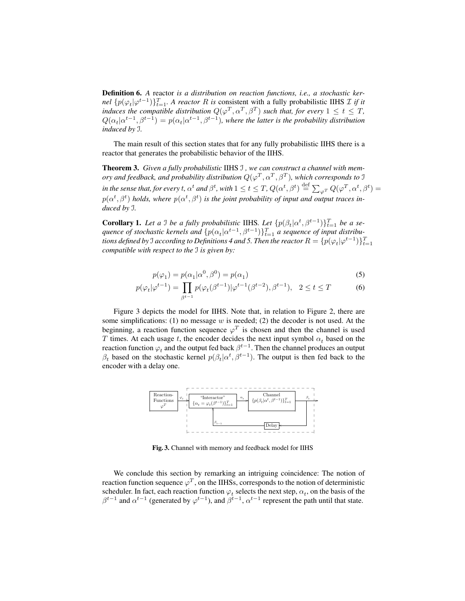Definition 6. *A* reactor *is a distribution on reaction functions, i.e., a stochastic kernel*  $\{p(\varphi_t|\varphi^{t-1})\}_{t=1}^T$ . A reactor R is consistent with a fully probabilistic IIHS  $\mathcal I$  *if it induces the compatible distribution*  $Q(\varphi^T, \alpha^T, \beta^T)$  *such that, for every*  $1 \le t \le T$ ,  $Q(\alpha_t | \alpha^{t-1}, \beta^{t-1}) = p(\alpha_t | \alpha^{t-1}, \beta^{t-1})$ , where the latter is the probability distribution *induced by* I*.*

The main result of this section states that for any fully probabilistic IIHS there is a reactor that generates the probabilistic behavior of the IIHS.

Theorem 3. *Given a fully probabilistic* IIHS I *, we can construct a channel with mem* $o$ ry and feedback, and probability distribution  $Q(\varphi^T,\alpha^T,\beta^T)$ , which corresponds to  $\mathfrak I$ in the sense that, for every  $t$ ,  $\alpha^t$  and  $\beta^t$ , with  $1\leq t\leq T$ ,  $Q(\alpha^t, \beta^t)\stackrel{{\rm def}}{=}\sum_{\varphi^T}Q(\varphi^T,\alpha^t,\beta^t)=$  $p(\alpha^t, \beta^t)$  holds, where  $p(\alpha^t, \beta^t)$  is the joint probability of input and output traces in*duced by* I*.*

**Corollary 1.** Let a J be a fully probabilistic IIHS. Let  $\{p(\beta_t | \alpha^t, \beta^{t-1})\}_{t=1}^T$  be a se*quence of stochastic kernels and*  $\{p(\alpha_t | \alpha^{t-1}, \beta^{t-1})\}_{t=1}^T$  *a sequence of input distribu*tions defined by  $\mathfrak I$  according to Definitions 4 and 5. Then the reactor  $R=\{p(\varphi_t|\varphi^{t-1})\}_{t=1}^T$ *compatible with respect to the* I *is given by:*

$$
p(\varphi_1) = p(\alpha_1 | \alpha^0, \beta^0) = p(\alpha_1)
$$
\n(5)

$$
p(\varphi_t|\varphi^{t-1}) = \prod_{\beta^{t-1}} p(\varphi_t(\beta^{t-1})|\varphi^{t-1}(\beta^{t-2}), \beta^{t-1}), \quad 2 \le t \le T
$$
 (6)

Figure 3 depicts the model for IIHS. Note that, in relation to Figure 2, there are some simplifications: (1) no message  $w$  is needed; (2) the decoder is not used. At the beginning, a reaction function sequence  $\varphi^T$  is chosen and then the channel is used T times. At each usage t, the encoder decides the next input symbol  $\alpha_t$  based on the reaction function  $\varphi_t$  and the output fed back  $\beta^{t-1}$ . Then the channel produces an output  $\beta_t$  based on the stochastic kernel  $p(\beta_t | \alpha^t, \beta^{t-1})$ . The output is then fed back to the encoder with a delay one.



Fig. 3. Channel with memory and feedback model for IIHS

We conclude this section by remarking an intriguing coincidence: The notion of reaction function sequence  $\varphi^T$ , on the IIHSs, corresponds to the notion of deterministic scheduler. In fact, each reaction function  $\varphi_t$  selects the next step,  $\alpha_t$ , on the basis of the  $\beta^{t-1}$  and  $\alpha^{t-1}$  (generated by  $\varphi^{t-1}$ ), and  $\beta^{t-1}$ ,  $\alpha^{t-1}$  represent the path until that state.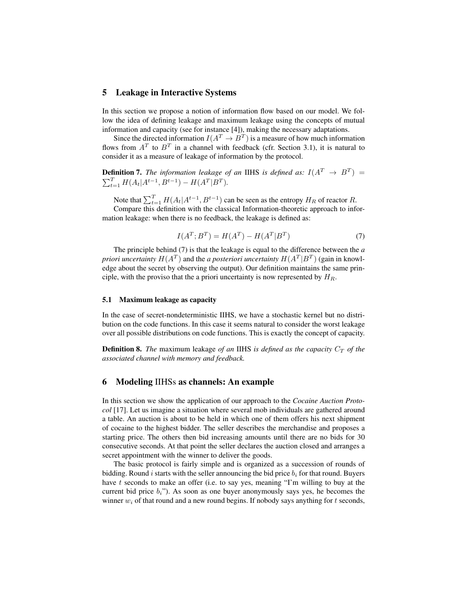## 5 Leakage in Interactive Systems

In this section we propose a notion of information flow based on our model. We follow the idea of defining leakage and maximum leakage using the concepts of mutual information and capacity (see for instance [4]), making the necessary adaptations.

Since the directed information  $I(A^T \to B^T)$  is a measure of how much information flows from  $A<sup>T</sup>$  to  $B<sup>T</sup>$  in a channel with feedback (cfr. Section 3.1), it is natural to consider it as a measure of leakage of information by the protocol.

**Definition 7.** The information leakage of an IIHS is defined as:  $I(A^T \rightarrow B^T) =$  $\sum_{t=1}^{T} H(A_t|A^{t-1}, B^{t-1}) - H(A^T|B^T).$ 

Note that  $\sum_{t=1}^{T} H(A_t|A^{t-1}, B^{t-1})$  can be seen as the entropy  $H_R$  of reactor R.

Compare this definition with the classical Information-theoretic approach to information leakage: when there is no feedback, the leakage is defined as:

$$
I(A^T; B^T) = H(A^T) - H(A^T | B^T)
$$
\n(7)

The principle behind (7) is that the leakage is equal to the difference between the *a priori uncertainty*  $H(A^T)$  *and the <i>a posteriori uncertainty*  $H(A^T|B^T)$  (gain in knowledge about the secret by observing the output). Our definition maintains the same principle, with the proviso that the a priori uncertainty is now represented by  $H_R$ .

#### 5.1 Maximum leakage as capacity

In the case of secret-nondeterministic IIHS, we have a stochastic kernel but no distribution on the code functions. In this case it seems natural to consider the worst leakage over all possible distributions on code functions. This is exactly the concept of capacity.

**Definition 8.** *The* maximum leakage *of an* IIHS *is defined as the capacity*  $C_T$  *of the associated channel with memory and feedback.*

### 6 Modeling IIHSs as channels: An example

In this section we show the application of our approach to the *Cocaine Auction Protocol* [17]. Let us imagine a situation where several mob individuals are gathered around a table. An auction is about to be held in which one of them offers his next shipment of cocaine to the highest bidder. The seller describes the merchandise and proposes a starting price. The others then bid increasing amounts until there are no bids for 30 consecutive seconds. At that point the seller declares the auction closed and arranges a secret appointment with the winner to deliver the goods.

The basic protocol is fairly simple and is organized as a succession of rounds of bidding. Round i starts with the seller announcing the bid price  $b_i$  for that round. Buyers have t seconds to make an offer (i.e. to say yes, meaning "I'm willing to buy at the current bid price  $b_i$ "). As soon as one buyer anonymously says yes, he becomes the winner  $w_i$  of that round and a new round begins. If nobody says anything for t seconds,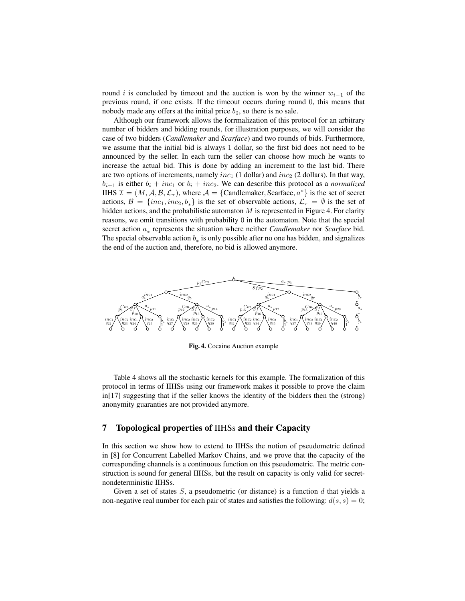round i is concluded by timeout and the auction is won by the winner  $w_{i-1}$  of the previous round, if one exists. If the timeout occurs during round 0, this means that nobody made any offers at the initial price  $b_0$ , so there is no sale.

Although our framework allows the forrmalization of this protocol for an arbitrary number of bidders and bidding rounds, for illustration purposes, we will consider the case of two bidders (*Candlemaker* and *Scarface*) and two rounds of bids. Furthermore, we assume that the initial bid is always 1 dollar, so the first bid does not need to be announced by the seller. In each turn the seller can choose how much he wants to increase the actual bid. This is done by adding an increment to the last bid. There are two options of increments, namely  $inc_1$  (1 dollar) and  $inc_2$  (2 dollars). In that way,  $b_{i+1}$  is either  $b_i + inc_1$  or  $b_i + inc_2$ . We can describe this protocol as a *normalized* IIHS  $\mathcal{I} = (M, \mathcal{A}, \mathcal{B}, \mathcal{L}_{\tau})$ , where  $\mathcal{A} = \{\text{Candlemaker}, \text{Scarface}, a^*\}\$  is the set of secret actions,  $\mathcal{B} = \{inc_1, inc_2, b_*\}$  is the set of observable actions,  $\mathcal{L}_{\tau} = \emptyset$  is the set of hidden actions, and the probabilistic automaton  $M$  is represented in Figure 4. For clarity reasons, we omit transitions with probability  $0$  in the automaton. Note that the special secret action a<sup>∗</sup> represents the situation where neither *Candlemaker* nor *Scarface* bid. The special observable action  $b_*$  is only possible after no one has bidden, and signalizes the end of the auction and, therefore, no bid is allowed anymore.



Fig. 4. Cocaine Auction example

Table 4 shows all the stochastic kernels for this example. The formalization of this protocol in terms of IIHSs using our framework makes it possible to prove the claim in[17] suggesting that if the seller knows the identity of the bidders then the (strong) anonymity guaranties are not provided anymore.

### 7 Topological properties of IIHSs and their Capacity

In this section we show how to extend to IIHSs the notion of pseudometric defined in [8] for Concurrent Labelled Markov Chains, and we prove that the capacity of the corresponding channels is a continuous function on this pseudometric. The metric construction is sound for general IIHSs, but the result on capacity is only valid for secretnondeterministic IIHSs.

Given a set of states  $S$ , a pseudometric (or distance) is a function  $d$  that yields a non-negative real number for each pair of states and satisfies the following:  $d(s, s) = 0$ ;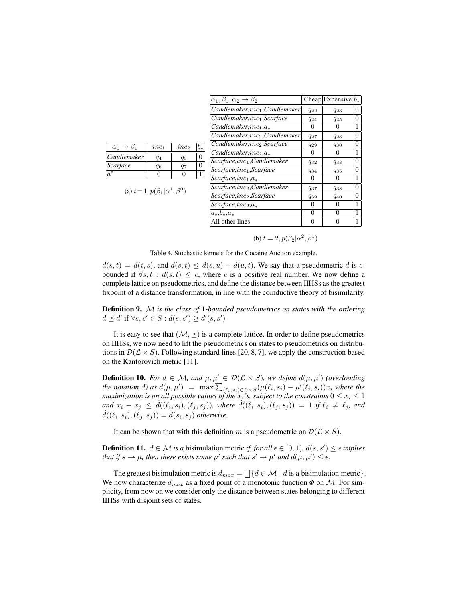|                | $\alpha_1, \beta_1, \alpha_2 \rightarrow \beta_2$ |          | Cheap Expensive $b_*$ |              |
|----------------|---------------------------------------------------|----------|-----------------------|--------------|
|                | $Candlemaker, inc1, Candlemaker$                  | $q_{22}$ | $q_{23}$              | $\Omega$     |
|                | Candlemaker, inc1, Scarface                       | $q_{24}$ | $q_{25}$              | $\Omega$     |
|                | $Candlemaker, inc_1, a_*$                         |          |                       | 1            |
|                | $Candlemaker, inc2, Candlemaker$                  | $q_{27}$ | $q_{28}$              | $\Omega$     |
| $b_*$          | $Candlemaker, inc2, Scarface$                     | $q_{29}$ | $q_{30}$              | $\mathbf{0}$ |
| $\overline{0}$ | $Candlemaker, inc2, a*$                           | 0        |                       | 1            |
| $\overline{0}$ | $Scarface, inc_1, Candlemaker$                    | $q_{32}$ | $q_{33}$              | $\mathbf{0}$ |
| 1              | Scarface, inc1, Scarface                          | $q_{34}$ | $q_{35}$              | $\Omega$     |
|                | $Scarface, inc_1, a_*$                            | $\theta$ |                       | 1            |
|                | $Scarface, inc2, Candlemaker$                     | $q_{37}$ | $q_{38}$              | $\Omega$     |
|                | Scarface, inc <sub>2</sub> , Scarface             | $q_{39}$ | $q_{40}$              | 0            |
|                | $Scarface, inc2, a*$                              | $_{0}$   |                       | 1            |
|                | $a_*,b_*,a_*$                                     | $_{0}$   |                       | 1            |
|                | All other lines                                   | 0        |                       |              |

(b) 
$$
t = 2, p(\beta_2 | \alpha^2, \beta^1)
$$

Table 4. Stochastic kernels for the Cocaine Auction example.

 $\alpha_1 \rightarrow \beta_1$  | inc<sub>1</sub> | inc<sub>2</sub> *Candlemaker*  $q_4$  q<sub>5</sub> *Scarface*  $\begin{array}{|c|c|c|} \hline \end{array}$   $q_6$  |  $q_7$ 

(a)  $t = 1, p(\beta_1 | \alpha^1, \beta^0)$ 

 $0 \quad | \quad 0$ 

a ∗

 $d(s,t) = d(t,s)$ , and  $d(s,t) \leq d(s,u) + d(u,t)$ . We say that a pseudometric d is cbounded if  $\forall s, t : d(s, t) \leq c$ , where c is a positive real number. We now define a complete lattice on pseudometrics, and define the distance between IIHSs as the greatest fixpoint of a distance transformation, in line with the coinductive theory of bisimilarity.

Definition 9. M *is the class of* 1*-bounded pseudometrics on states with the ordering*  $d \leq d'$  if  $\forall s, s' \in S : d(s, s') \geq d'(s, s').$ 

It is easy to see that  $(M, \prec)$  is a complete lattice. In order to define pseudometrics on IIHSs, we now need to lift the pseudometrics on states to pseudometrics on distributions in  $\mathcal{D}(\mathcal{L} \times S)$ . Following standard lines [20, 8, 7], we apply the construction based on the Kantorovich metric [11].

**Definition 10.** *For*  $d \in M$ *, and*  $\mu, \mu' \in \mathcal{D}(\mathcal{L} \times S)$ *, we define*  $d(\mu, \mu')$  *(overloading the notation d) as*  $d(\mu, \mu') = \max \sum_{(\ell_i, s_i) \in \mathcal{L} \times S} (\mu(\ell_i, s_i) - \mu'(\ell_i, s_i)) x_i$  where the *maximization is on all possible values of the*  $x_i$ *'s, subject to the constraints*  $0 \le x_i \le 1$  $and \; x_i - x_j \; \leq \; \hat{d}((\ell_i, s_i),(\ell_j, s_j)), \; where \; \hat{d}((\ell_i, s_i),(\ell_j, s_j)) \; = \; 1 \; \text{if} \; \ell_i \; \neq \; \ell_j, \; and$  $\hat{d}((\ell_i, s_i), (\ell_j, s_j)) = d(s_i, s_j)$  *otherwise.* 

It can be shown that with this definition m is a pseudometric on  $\mathcal{D}(\mathcal{L} \times S)$ .

**Definition 11.**  $d \in \mathcal{M}$  *is a* bisimulation metric *if, for all*  $\epsilon \in [0,1)$ *,*  $d(s, s') \leq \epsilon$  *implies that if*  $s \to \mu$ *, then there exists some*  $\mu'$  *such that*  $s' \to \mu'$  *and*  $d(\mu, \mu') \leq \epsilon$ *.* 

The greatest bisimulation metric is  $d_{max} = \bigsqcup \{d \in \mathcal{M} \mid d \text{ is a bisimulation metric}\}.$ We now characterize  $d_{max}$  as a fixed point of a monotonic function  $\Phi$  on M. For simplicity, from now on we consider only the distance between states belonging to different IIHSs with disjoint sets of states.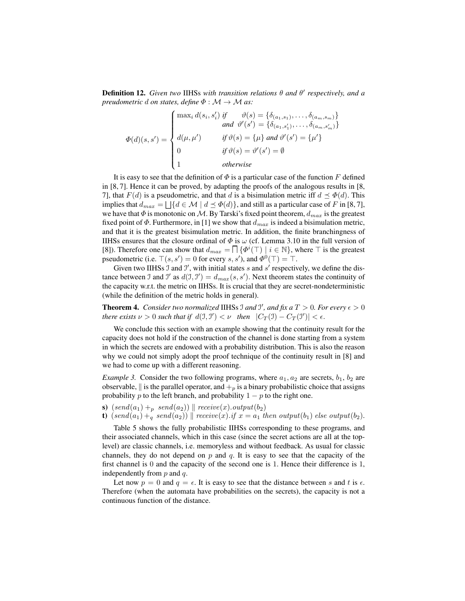**Definition 12.** Given two IIHSs with transition relations θ and θ' respectively, and a *preudometric d on states, define*  $\Phi : \mathcal{M} \to \mathcal{M}$  *as:* 

$$
\Phi(d)(s,s') = \begin{cases}\n\max_i d(s_i, s'_i) \text{ if } \vartheta(s) = \{\delta_{(a_1, s_1)}, \dots, \delta_{(a_m, s_m)}\} \\
and \vartheta'(s') = \{\delta_{(a_1, s'_1)}, \dots, \delta_{(a_m, s'_m)}\} \\
d(\mu, \mu') \qquad \text{ if } \vartheta(s) = \{\mu\} \text{ and } \vartheta'(s') = \{\mu'\} \\
0 \qquad \text{ if } \vartheta(s) = \vartheta'(s') = \varnothing \\
1 \qquad \text{ otherwise}\n\end{cases}
$$

It is easy to see that the definition of  $\Phi$  is a particular case of the function F defined in [8, 7]. Hence it can be proved, by adapting the proofs of the analogous results in [8, 7], that  $F(d)$  is a pseudometric, and that d is a bisimulation metric iff  $d \preceq \Phi(d)$ . This implies that  $d_{max} = \bigsqcup \{d \in \mathcal{M} \mid d \leq \Phi(d)\}\)$ , and still as a particular case of F in [8, 7], we have that  $\Phi$  is monotonic on M. By Tarski's fixed point theorem,  $d_{max}$  is the greatest fixed point of  $\Phi$ . Furthermore, in [1] we show that  $d_{max}$  is indeed a bisimulation metric, and that it is the greatest bisimulation metric. In addition, the finite branchingness of IIHSs ensures that the closure ordinal of  $\Phi$  is  $\omega$  (cf. Lemma 3.10 in the full version of [8]). Therefore one can show that  $d_{max} = \prod_{i} \{ \Phi^i(\top) \mid i \in \mathbb{N} \}$ , where  $\top$  is the greatest pseudometric (i.e.  $\top(s, s') = 0$  for every s, s'), and  $\Phi^0(\top) = \top$ .

Given two IIHSs J and  $\mathcal{I}'$ , with initial states s and s' respectively, we define the distance between J and J' as  $d(\mathcal{I}, \mathcal{I}') = d_{max}(s, s')$ . Next theorem states the continuity of the capacity w.r.t. the metric on IIHSs. It is crucial that they are secret-nondeterministic (while the definition of the metric holds in general).

**Theorem 4.** Consider two normalized IIHSs  $\mathcal{I}$  and  $\mathcal{I}'$ , and fix a  $T > 0$ . For every  $\epsilon > 0$ *there exists*  $\nu > 0$  *such that if*  $d(\mathfrak{I}, \mathfrak{I}') < \nu$  *then*  $|C_T(\mathfrak{I}) - C_T(\mathfrak{I}')| < \epsilon$ .

We conclude this section with an example showing that the continuity result for the capacity does not hold if the construction of the channel is done starting from a system in which the secrets are endowed with a probability distribution. This is also the reason why we could not simply adopt the proof technique of the continuity result in [8] and we had to come up with a different reasoning.

*Example 3.* Consider the two following programs, where  $a_1, a_2$  are secrets,  $b_1, b_2$  are observable,  $\parallel$  is the parallel operator, and  $+_p$  is a binary probabilistic choice that assigns probability p to the left branch, and probability  $1 - p$  to the right one.

s)  $(send(a_1) +_p send(a_2)) \parallel receive(x).output(b_2)$ 

**t**)  $(send(a_1) + q \text{ send}(a_2)) \parallel receive(x).if x = a_1 \text{ then output}(b_1) \text{ else output}(b_2).$ 

Table 5 shows the fully probabilistic IIHSs corresponding to these programs, and their associated channels, which in this case (since the secret actions are all at the toplevel) are classic channels, i.e. memoryless and without feedback. As usual for classic channels, they do not depend on  $p$  and  $q$ . It is easy to see that the capacity of the first channel is 0 and the capacity of the second one is 1. Hence their difference is 1, independently from  $p$  and  $q$ .

Let now  $p = 0$  and  $q = \epsilon$ . It is easy to see that the distance between s and t is  $\epsilon$ . Therefore (when the automata have probabilities on the secrets), the capacity is not a continuous function of the distance.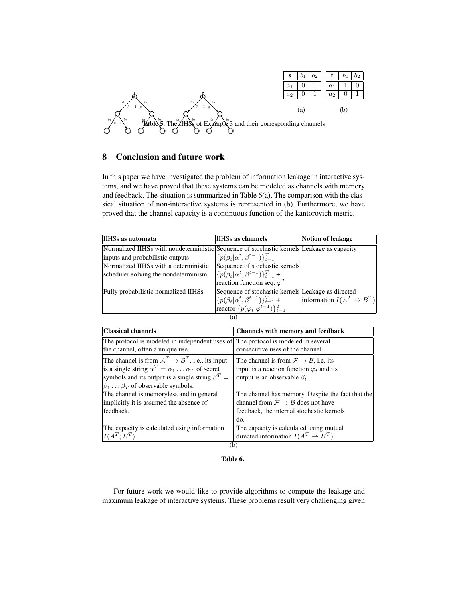

## 8 Conclusion and future work

In this paper we have investigated the problem of information leakage in interactive systems, and we have proved that these systems can be modeled as channels with memory and feedback. The situation is summarized in Table 6(a). The comparison with the classical situation of non-interactive systems is represented in (b). Furthermore, we have proved that the channel capacity is a continuous function of the kantorovich metric.

| IIHSs as automata                                                                         | <b>IIHSs as channels</b>                           | Notion of leakage                    |  |
|-------------------------------------------------------------------------------------------|----------------------------------------------------|--------------------------------------|--|
| Normalized IIHSs with nondeterministic Sequence of stochastic kernels Leakage as capacity |                                                    |                                      |  |
| inputs and probabilistic outputs                                                          | $\{p(\beta_t \alpha^t, \beta^{t-1})\}_{t=1}^T$     |                                      |  |
| Normalized IIHSs with a deterministic                                                     | Sequence of stochastic kernels                     |                                      |  |
| scheduler solving the nondeterminism                                                      | $\{p(\beta_t \alpha^t, \beta^{t-1})\}_{t=1}^T$ +   |                                      |  |
|                                                                                           | reaction function seq. $\varphi^T$                 |                                      |  |
| Fully probabilistic normalized IIHSs                                                      | Sequence of stochastic kernels Leakage as directed |                                      |  |
|                                                                                           | $\{p(\beta_t \alpha^t, \beta^{t-1})\}_{t=1}^T$ +   | information $I(A^T \rightarrow B^T)$ |  |
|                                                                                           | reactor $\{p(\varphi_t \varphi^{t-1})\}_{t=1}^T$   |                                      |  |
|                                                                                           | (a)                                                |                                      |  |

| <b>Classical channels</b>                                                         | Channels with memory and feedback                            |  |  |
|-----------------------------------------------------------------------------------|--------------------------------------------------------------|--|--|
| The protocol is modeled in independent uses of The protocol is modeled in several |                                                              |  |  |
| the channel, often a unique use.                                                  | consecutive uses of the channel.                             |  |  |
| The channel is from $A^T \rightarrow B^T$ , i.e., its input                       | The channel is from $\mathcal{F} \to \mathcal{B}$ , i.e. its |  |  |
| is a single string $\alpha^T = \alpha_1 \dots \alpha_T$ of secret                 | input is a reaction function $\varphi_t$ and its             |  |  |
| symbols and its output is a single string $\beta^T =$                             | output is an observable $\beta_t$ .                          |  |  |
| $\beta_1 \dots \beta_T$ of observable symbols.                                    |                                                              |  |  |
| The channel is memoryless and in general                                          | The channel has memory. Despite the fact that the            |  |  |
| implicitly it is assumed the absence of                                           | channel from $\mathcal{F} \to \mathcal{B}$ does not have     |  |  |
| feedback.                                                                         | feedback, the internal stochastic kernels                    |  |  |
|                                                                                   | ldo.                                                         |  |  |
| The capacity is calculated using information                                      | The capacity is calculated using mutual                      |  |  |
| $I(A^T; B^T)$ .                                                                   | directed information $I(A^T \rightarrow B^T)$ .              |  |  |
|                                                                                   | b)                                                           |  |  |

#### Table 6.

For future work we would like to provide algorithms to compute the leakage and maximum leakage of interactive systems. These problems result very challenging given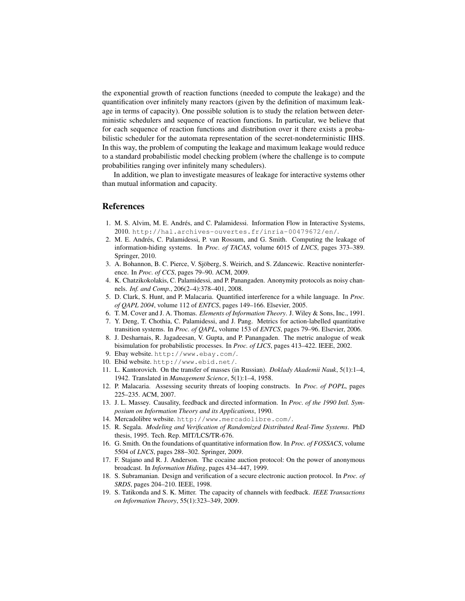the exponential growth of reaction functions (needed to compute the leakage) and the quantification over infinitely many reactors (given by the definition of maximum leakage in terms of capacity). One possible solution is to study the relation between deterministic schedulers and sequence of reaction functions. In particular, we believe that for each sequence of reaction functions and distribution over it there exists a probabilistic scheduler for the automata representation of the secret-nondeterministic IIHS. In this way, the problem of computing the leakage and maximum leakage would reduce to a standard probabilistic model checking problem (where the challenge is to compute probabilities ranging over infinitely many schedulers).

In addition, we plan to investigate measures of leakage for interactive systems other than mutual information and capacity.

## References

- 1. M. S. Alvim, M. E. Andres, and C. Palamidessi. Information Flow in Interactive Systems, ´ 2010. http://hal.archives-ouvertes.fr/inria-00479672/en/.
- 2. M. E. Andres, C. Palamidessi, P. van Rossum, and G. Smith. Computing the leakage of ´ information-hiding systems. In *Proc. of TACAS*, volume 6015 of *LNCS*, pages 373–389. Springer, 2010.
- 3. A. Bohannon, B. C. Pierce, V. Sjoberg, S. Weirich, and S. Zdancewic. Reactive noninterfer- ¨ ence. In *Proc. of CCS*, pages 79–90. ACM, 2009.
- 4. K. Chatzikokolakis, C. Palamidessi, and P. Panangaden. Anonymity protocols as noisy channels. *Inf. and Comp.*, 206(2–4):378–401, 2008.
- 5. D. Clark, S. Hunt, and P. Malacaria. Quantified interference for a while language. In *Proc. of QAPL 2004*, volume 112 of *ENTCS*, pages 149–166. Elsevier, 2005.
- 6. T. M. Cover and J. A. Thomas. *Elements of Information Theory*. J. Wiley & Sons, Inc., 1991.
- 7. Y. Deng, T. Chothia, C. Palamidessi, and J. Pang. Metrics for action-labelled quantitative transition systems. In *Proc. of QAPL*, volume 153 of *ENTCS*, pages 79–96. Elsevier, 2006.
- 8. J. Desharnais, R. Jagadeesan, V. Gupta, and P. Panangaden. The metric analogue of weak bisimulation for probabilistic processes. In *Proc. of LICS*, pages 413–422. IEEE, 2002.
- 9. Ebay website. http://www.ebay.com/.
- 10. Ebid website. http://www.ebid.net/.
- 11. L. Kantorovich. On the transfer of masses (in Russian). *Doklady Akademii Nauk*, 5(1):1–4, 1942. Translated in *Management Science*, 5(1):1–4, 1958.
- 12. P. Malacaria. Assessing security threats of looping constructs. In *Proc. of POPL*, pages 225–235. ACM, 2007.
- 13. J. L. Massey. Causality, feedback and directed information. In *Proc. of the 1990 Intl. Symposium on Information Theory and its Applications*, 1990.
- 14. Mercadolibre website. http://www.mercadolibre.com/.
- 15. R. Segala. *Modeling and Verification of Randomized Distributed Real-Time Systems*. PhD thesis, 1995. Tech. Rep. MIT/LCS/TR-676.
- 16. G. Smith. On the foundations of quantitative information flow. In *Proc. of FOSSACS*, volume 5504 of *LNCS*, pages 288–302. Springer, 2009.
- 17. F. Stajano and R. J. Anderson. The cocaine auction protocol: On the power of anonymous broadcast. In *Information Hiding*, pages 434–447, 1999.
- 18. S. Subramanian. Design and verification of a secure electronic auction protocol. In *Proc. of SRDS*, pages 204–210. IEEE, 1998.
- 19. S. Tatikonda and S. K. Mitter. The capacity of channels with feedback. *IEEE Transactions on Information Theory*, 55(1):323–349, 2009.